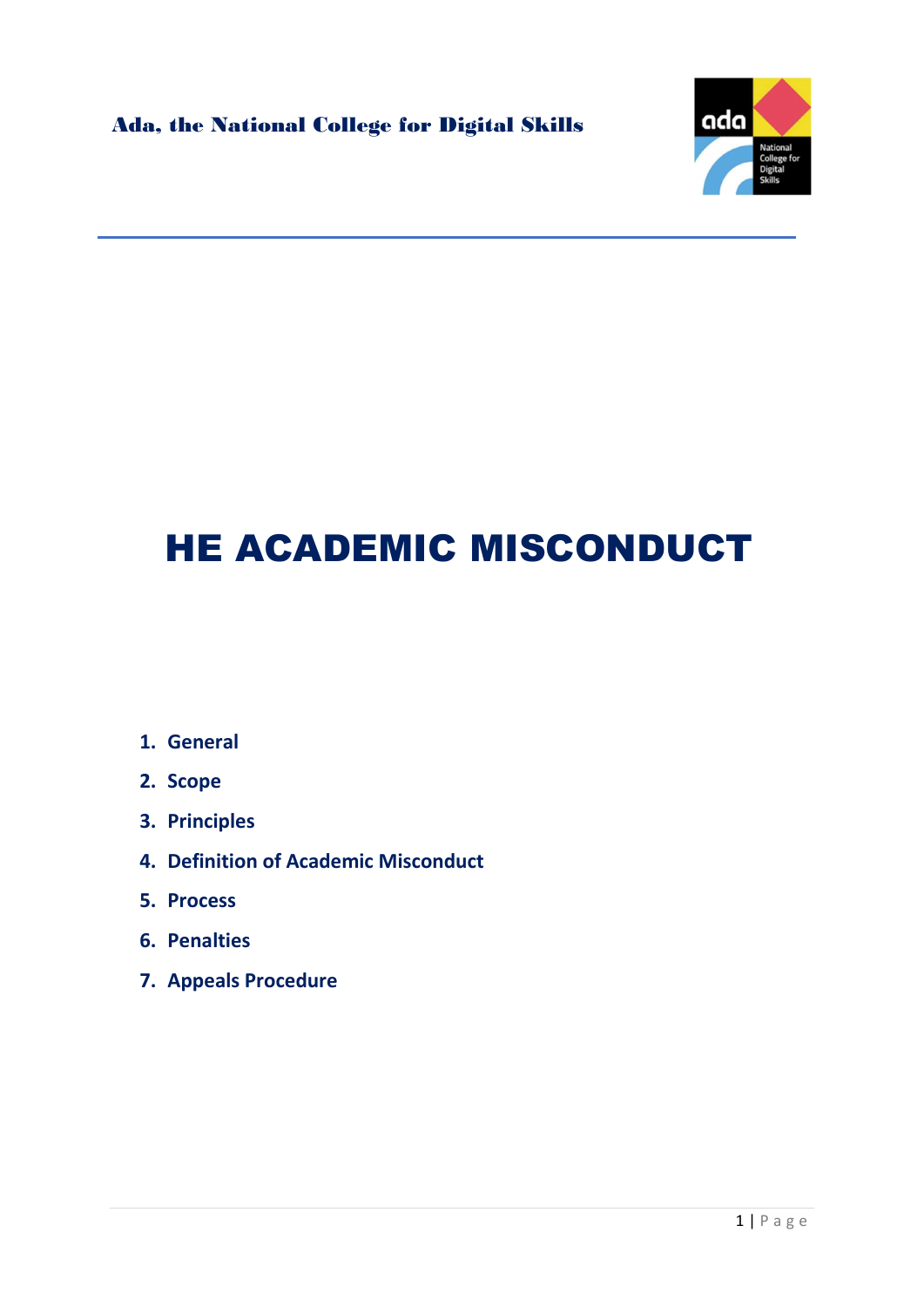

## HE ACADEMIC MISCONDUCT

- 1. General
- 2. Scope
- 3. Principles
- 4. Definition of Academic Misconduct
- 5. Process
- 6. Penalties
- 7. Appeals Procedure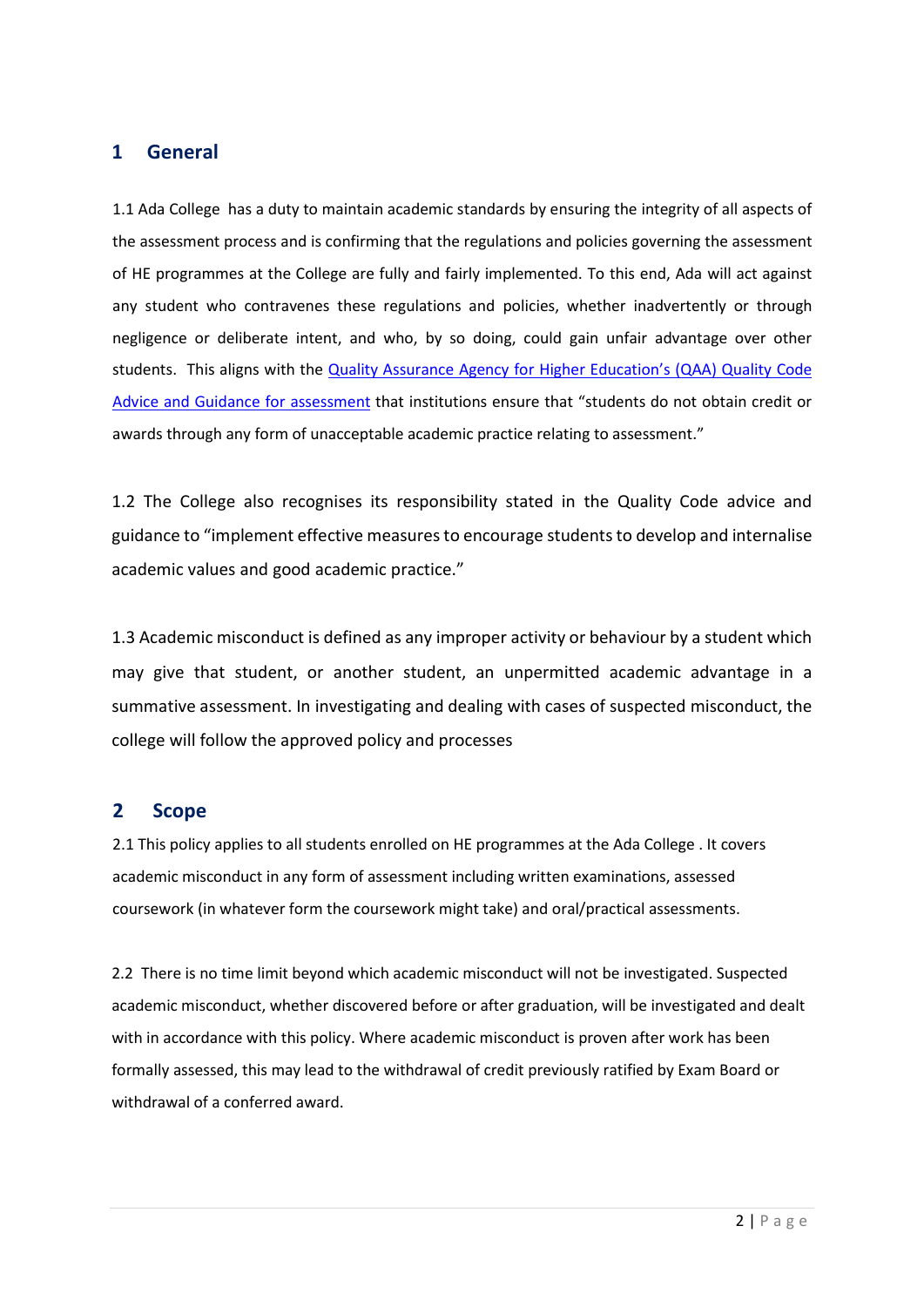#### 1 General

1.1 Ada College has a duty to maintain academic standards by ensuring the integrity of all aspects of the assessment process and is confirming that the regulations and policies governing the assessment of HE programmes at the College are fully and fairly implemented. To this end, Ada will act against any student who contravenes these regulations and policies, whether inadvertently or through negligence or deliberate intent, and who, by so doing, could gain unfair advantage over other students. This aligns with the Quality Assurance Agency for Higher Education's (QAA) Quality Code Advice and Guidance for assessment that institutions ensure that "students do not obtain credit or awards through any form of unacceptable academic practice relating to assessment."

1.2 The College also recognises its responsibility stated in the Quality Code advice and guidance to "implement effective measures to encourage students to develop and internalise academic values and good academic practice."

1.3 Academic misconduct is defined as any improper activity or behaviour by a student which may give that student, or another student, an unpermitted academic advantage in a summative assessment. In investigating and dealing with cases of suspected misconduct, the college will follow the approved policy and processes

#### 2 Scope

2.1 This policy applies to all students enrolled on HE programmes at the Ada College . It covers academic misconduct in any form of assessment including written examinations, assessed coursework (in whatever form the coursework might take) and oral/practical assessments.

2.2 There is no time limit beyond which academic misconduct will not be investigated. Suspected academic misconduct, whether discovered before or after graduation, will be investigated and dealt with in accordance with this policy. Where academic misconduct is proven after work has been formally assessed, this may lead to the withdrawal of credit previously ratified by Exam Board or withdrawal of a conferred award.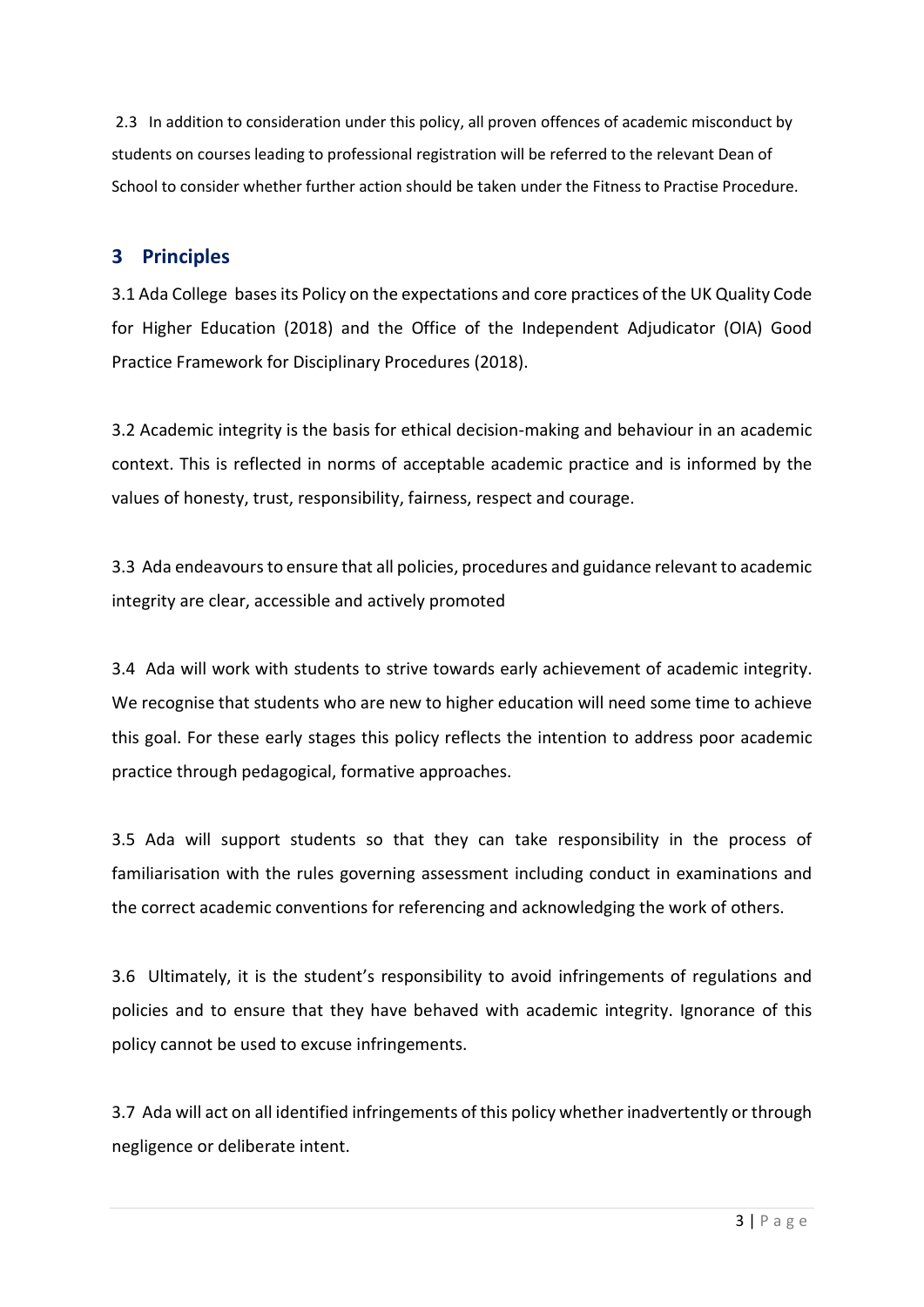2.3 In addition to consideration under this policy, all proven offences of academic misconduct by students on courses leading to professional registration will be referred to the relevant Dean of School to consider whether further action should be taken under the Fitness to Practise Procedure.

#### 3 Principles

3.1 Ada College bases its Policy on the expectations and core practices of the UK Quality Code for Higher Education (2018) and the Office of the Independent Adjudicator (OIA) Good Practice Framework for Disciplinary Procedures (2018).

3.2 Academic integrity is the basis for ethical decision-making and behaviour in an academic context. This is reflected in norms of acceptable academic practice and is informed by the values of honesty, trust, responsibility, fairness, respect and courage.

3.3 Ada endeavours to ensure that all policies, procedures and guidance relevant to academic integrity are clear, accessible and actively promoted

3.4 Ada will work with students to strive towards early achievement of academic integrity. We recognise that students who are new to higher education will need some time to achieve this goal. For these early stages this policy reflects the intention to address poor academic practice through pedagogical, formative approaches.

3.5 Ada will support students so that they can take responsibility in the process of familiarisation with the rules governing assessment including conduct in examinations and the correct academic conventions for referencing and acknowledging the work of others.

3.6 Ultimately, it is the student's responsibility to avoid infringements of regulations and policies and to ensure that they have behaved with academic integrity. Ignorance of this policy cannot be used to excuse infringements.

3.7 Ada will act on all identified infringements of this policy whether inadvertently or through negligence or deliberate intent.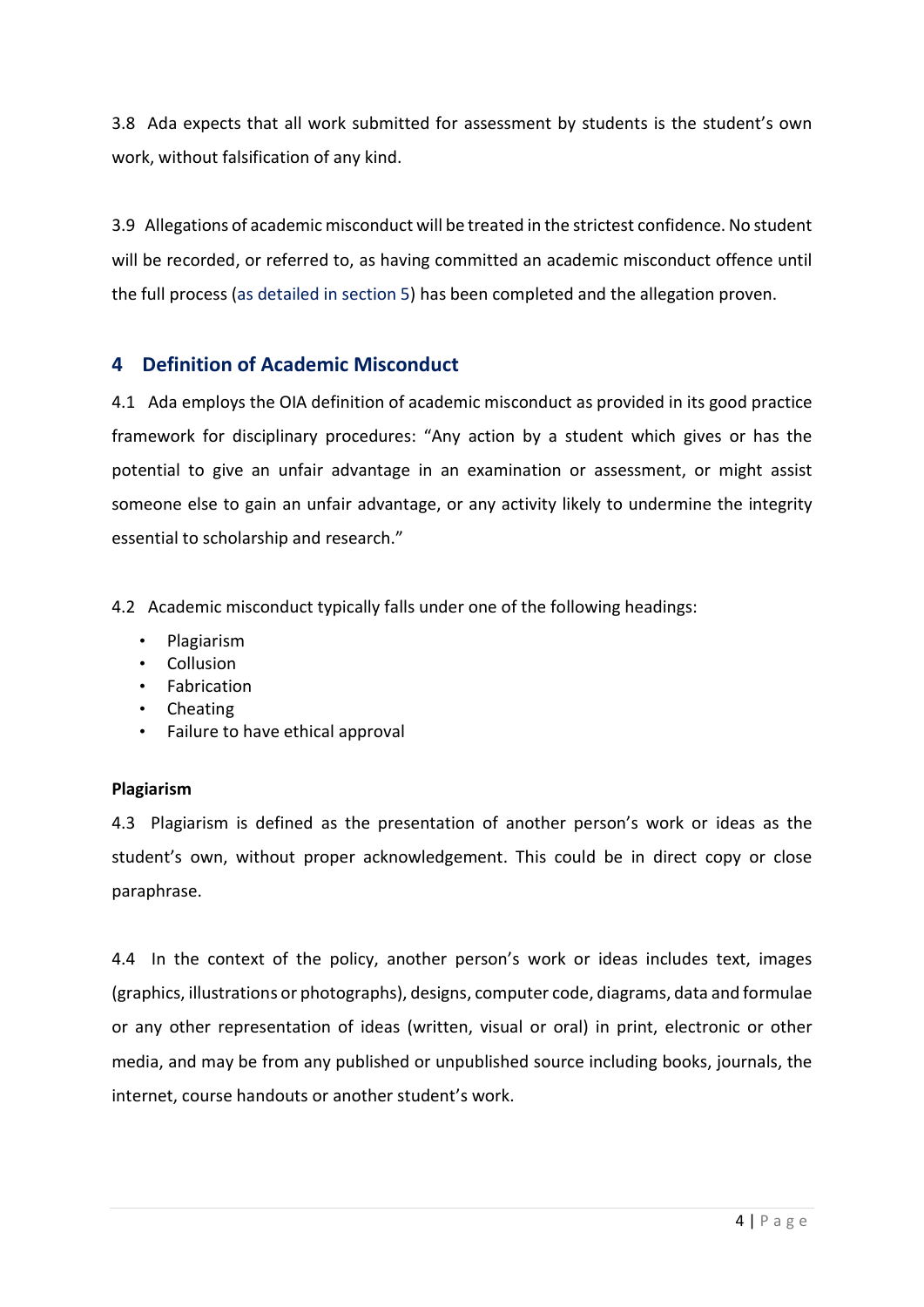3.8 Ada expects that all work submitted for assessment by students is the student's own work, without falsification of any kind.

3.9 Allegations of academic misconduct will be treated in the strictest confidence. No student will be recorded, or referred to, as having committed an academic misconduct offence until the full process (as detailed in section 5) has been completed and the allegation proven.

#### 4 Definition of Academic Misconduct

4.1 Ada employs the OIA definition of academic misconduct as provided in its good practice framework for disciplinary procedures: "Any action by a student which gives or has the potential to give an unfair advantage in an examination or assessment, or might assist someone else to gain an unfair advantage, or any activity likely to undermine the integrity essential to scholarship and research."

4.2 Academic misconduct typically falls under one of the following headings:

- Plagiarism
- Collusion
- Fabrication
- Cheating
- Failure to have ethical approval

#### Plagiarism

4.3 Plagiarism is defined as the presentation of another person's work or ideas as the student's own, without proper acknowledgement. This could be in direct copy or close paraphrase.

4.4 In the context of the policy, another person's work or ideas includes text, images (graphics, illustrations or photographs), designs, computer code, diagrams, data and formulae or any other representation of ideas (written, visual or oral) in print, electronic or other media, and may be from any published or unpublished source including books, journals, the internet, course handouts or another student's work.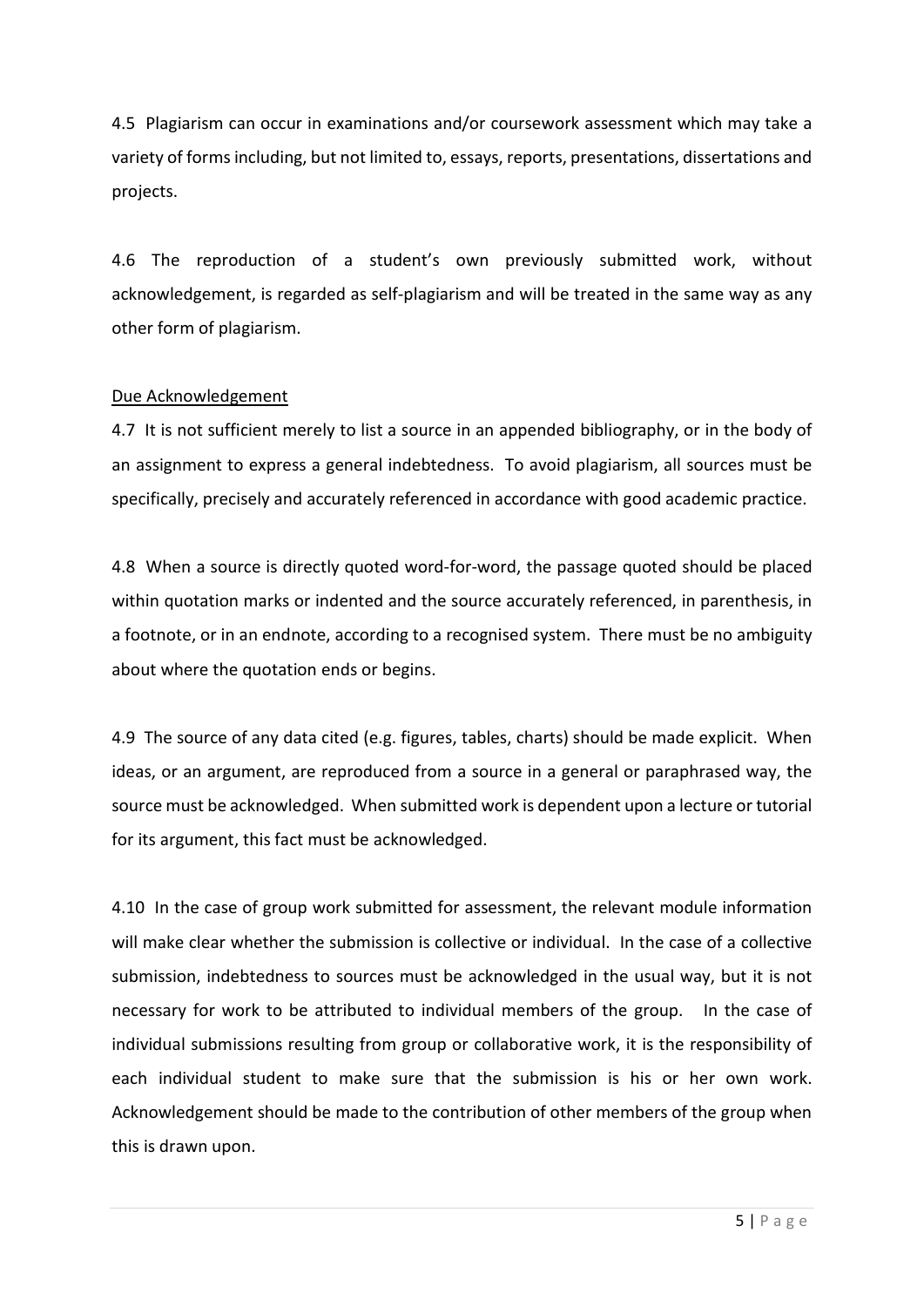4.5 Plagiarism can occur in examinations and/or coursework assessment which may take a variety of forms including, but not limited to, essays, reports, presentations, dissertations and projects.

4.6 The reproduction of a student's own previously submitted work, without acknowledgement, is regarded as self-plagiarism and will be treated in the same way as any other form of plagiarism.

#### Due Acknowledgement

4.7 It is not sufficient merely to list a source in an appended bibliography, or in the body of an assignment to express a general indebtedness. To avoid plagiarism, all sources must be specifically, precisely and accurately referenced in accordance with good academic practice.

4.8 When a source is directly quoted word-for-word, the passage quoted should be placed within quotation marks or indented and the source accurately referenced, in parenthesis, in a footnote, or in an endnote, according to a recognised system. There must be no ambiguity about where the quotation ends or begins.

4.9 The source of any data cited (e.g. figures, tables, charts) should be made explicit. When ideas, or an argument, are reproduced from a source in a general or paraphrased way, the source must be acknowledged. When submitted work is dependent upon a lecture or tutorial for its argument, this fact must be acknowledged.

4.10 In the case of group work submitted for assessment, the relevant module information will make clear whether the submission is collective or individual. In the case of a collective submission, indebtedness to sources must be acknowledged in the usual way, but it is not necessary for work to be attributed to individual members of the group. In the case of individual submissions resulting from group or collaborative work, it is the responsibility of each individual student to make sure that the submission is his or her own work. Acknowledgement should be made to the contribution of other members of the group when this is drawn upon.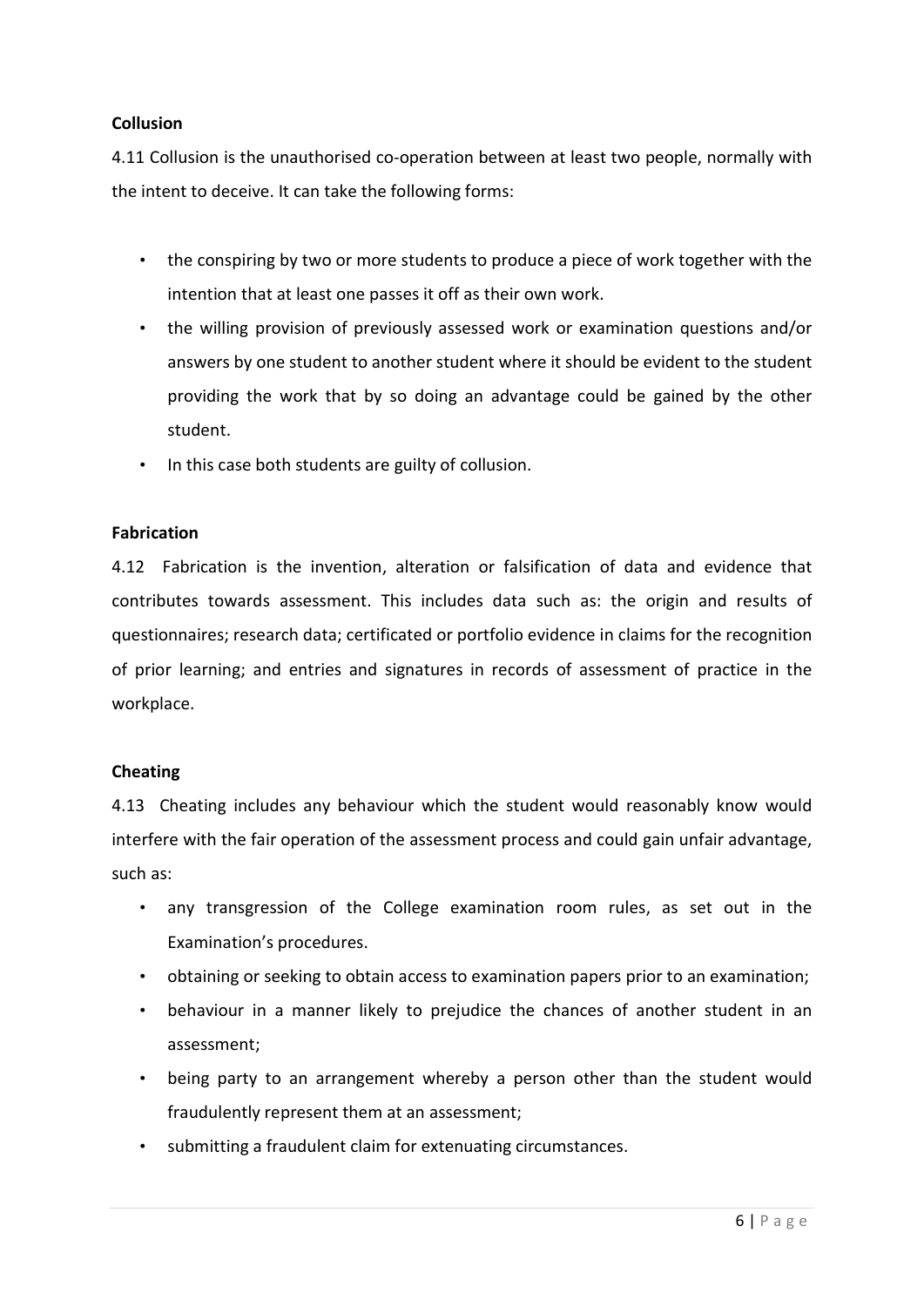#### **Collusion**

4.11 Collusion is the unauthorised co-operation between at least two people, normally with the intent to deceive. It can take the following forms:

- the conspiring by two or more students to produce a piece of work together with the intention that at least one passes it off as their own work.
- the willing provision of previously assessed work or examination questions and/or answers by one student to another student where it should be evident to the student providing the work that by so doing an advantage could be gained by the other student.
- In this case both students are guilty of collusion.

#### Fabrication

4.12 Fabrication is the invention, alteration or falsification of data and evidence that contributes towards assessment. This includes data such as: the origin and results of questionnaires; research data; certificated or portfolio evidence in claims for the recognition of prior learning; and entries and signatures in records of assessment of practice in the workplace.

#### Cheating

4.13 Cheating includes any behaviour which the student would reasonably know would interfere with the fair operation of the assessment process and could gain unfair advantage, such as:

- any transgression of the College examination room rules, as set out in the Examination's procedures.
- obtaining or seeking to obtain access to examination papers prior to an examination;
- behaviour in a manner likely to prejudice the chances of another student in an assessment;
- being party to an arrangement whereby a person other than the student would fraudulently represent them at an assessment;
- submitting a fraudulent claim for extenuating circumstances.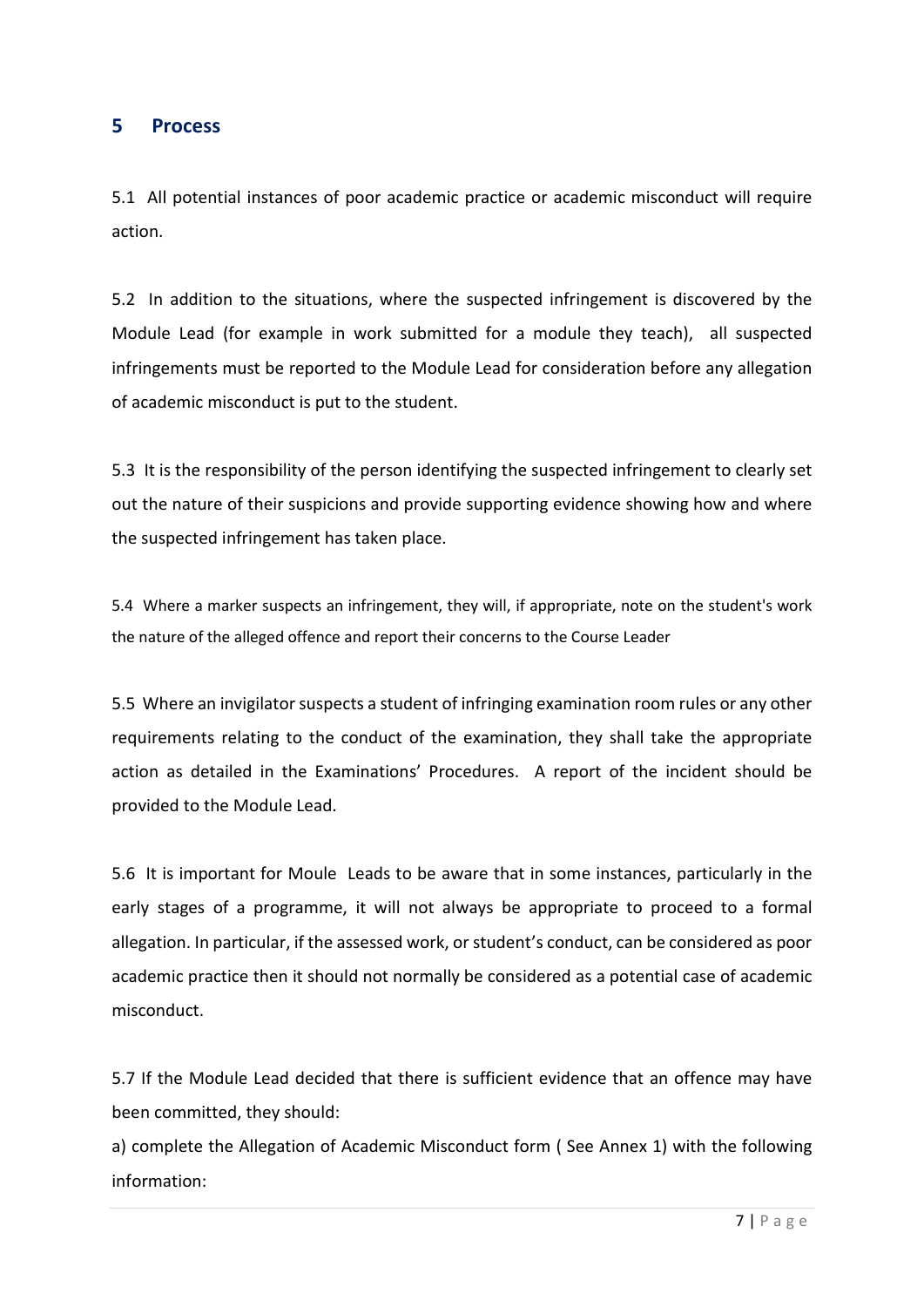#### 5 Process

5.1 All potential instances of poor academic practice or academic misconduct will require action.

5.2 In addition to the situations, where the suspected infringement is discovered by the Module Lead (for example in work submitted for a module they teach), all suspected infringements must be reported to the Module Lead for consideration before any allegation of academic misconduct is put to the student.

5.3 It is the responsibility of the person identifying the suspected infringement to clearly set out the nature of their suspicions and provide supporting evidence showing how and where the suspected infringement has taken place.

5.4 Where a marker suspects an infringement, they will, if appropriate, note on the student's work the nature of the alleged offence and report their concerns to the Course Leader

5.5 Where an invigilator suspects a student of infringing examination room rules or any other requirements relating to the conduct of the examination, they shall take the appropriate action as detailed in the Examinations' Procedures. A report of the incident should be provided to the Module Lead.

5.6 It is important for Moule Leads to be aware that in some instances, particularly in the early stages of a programme, it will not always be appropriate to proceed to a formal allegation. In particular, if the assessed work, or student's conduct, can be considered as poor academic practice then it should not normally be considered as a potential case of academic misconduct.

5.7 If the Module Lead decided that there is sufficient evidence that an offence may have been committed, they should:

a) complete the Allegation of Academic Misconduct form ( See Annex 1) with the following information: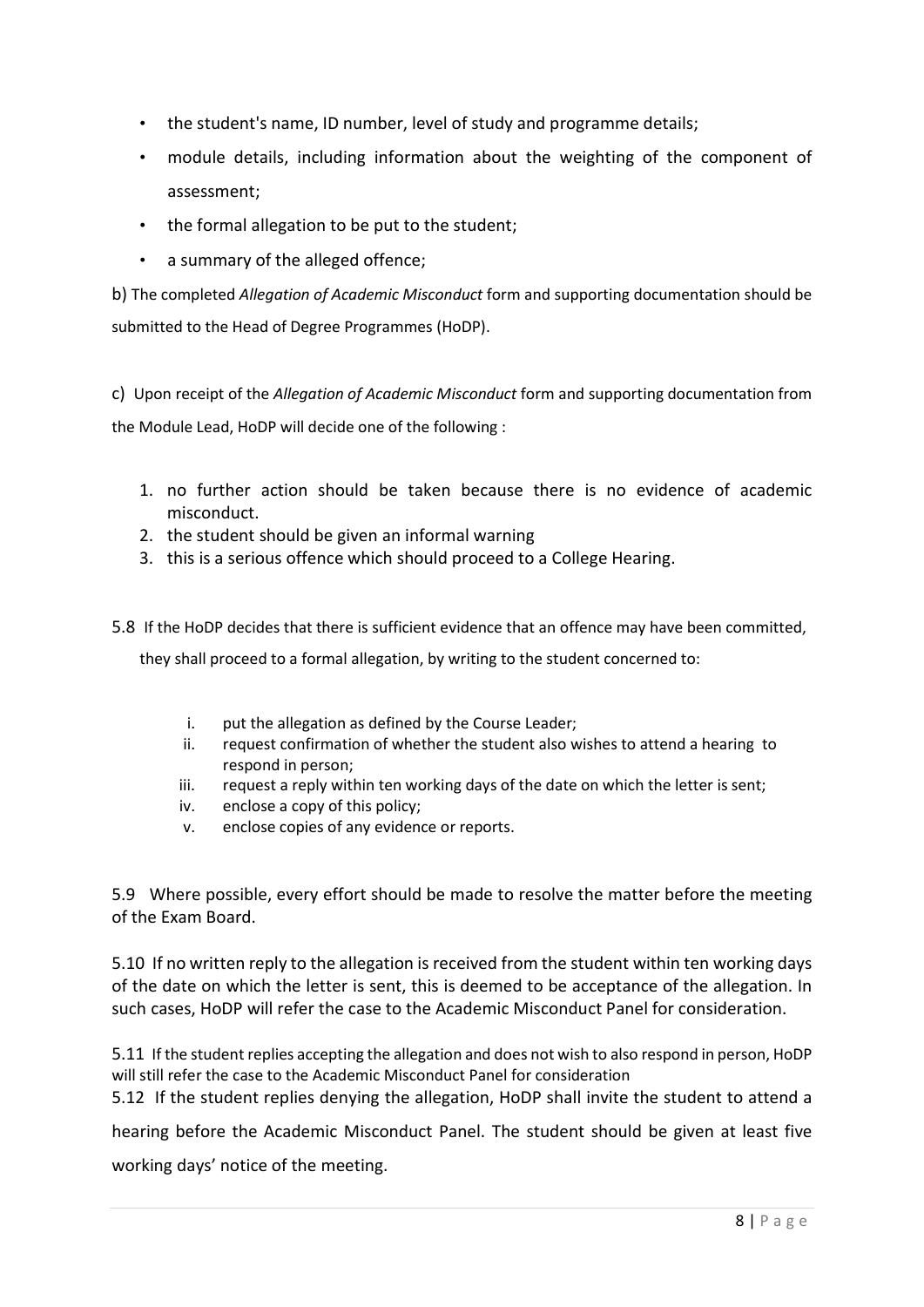- the student's name, ID number, level of study and programme details;
- module details, including information about the weighting of the component of assessment;
- the formal allegation to be put to the student;
- a summary of the alleged offence;

b) The completed Allegation of Academic Misconduct form and supporting documentation should be submitted to the Head of Degree Programmes (HoDP).

c) Upon receipt of the Allegation of Academic Misconduct form and supporting documentation from the Module Lead, HoDP will decide one of the following :

- 1. no further action should be taken because there is no evidence of academic misconduct.
- 2. the student should be given an informal warning
- 3. this is a serious offence which should proceed to a College Hearing.
- 5.8 If the HoDP decides that there is sufficient evidence that an offence may have been committed,

they shall proceed to a formal allegation, by writing to the student concerned to:

- i. put the allegation as defined by the Course Leader;
- ii. request confirmation of whether the student also wishes to attend a hearing to respond in person;
- iii. request a reply within ten working days of the date on which the letter is sent;
- iv. enclose a copy of this policy;
- v. enclose copies of any evidence or reports.

5.9 Where possible, every effort should be made to resolve the matter before the meeting of the Exam Board.

5.10 If no written reply to the allegation is received from the student within ten working days of the date on which the letter is sent, this is deemed to be acceptance of the allegation. In such cases, HoDP will refer the case to the Academic Misconduct Panel for consideration.

5.11 If the student replies accepting the allegation and does not wish to also respond in person, HoDP will still refer the case to the Academic Misconduct Panel for consideration

5.12 If the student replies denying the allegation, HoDP shall invite the student to attend a

hearing before the Academic Misconduct Panel. The student should be given at least five working days' notice of the meeting.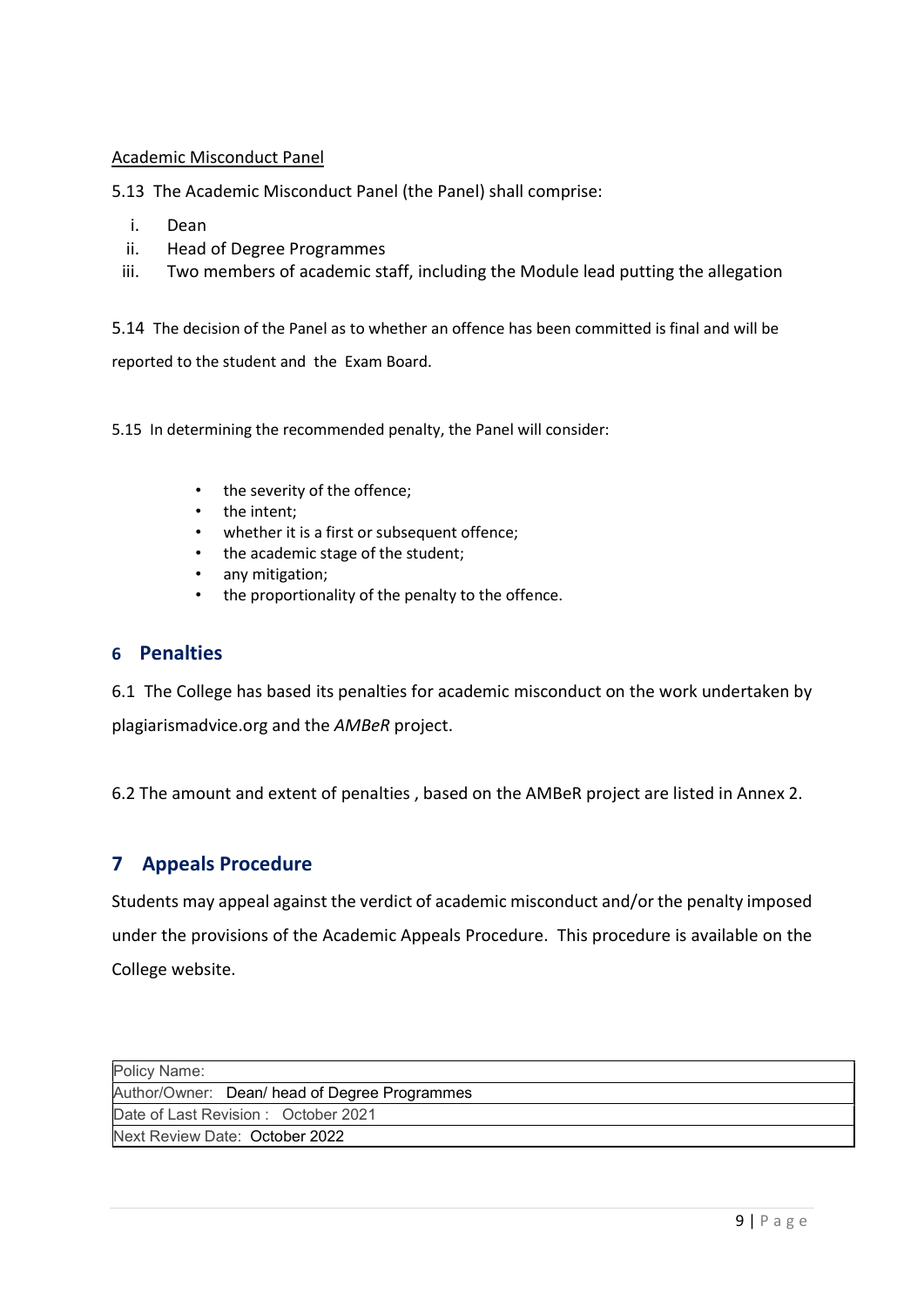#### Academic Misconduct Panel

5.13 The Academic Misconduct Panel (the Panel) shall comprise:

- i. Dean
- ii. Head of Degree Programmes
- iii. Two members of academic staff, including the Module lead putting the allegation

5.14 The decision of the Panel as to whether an offence has been committed is final and will be reported to the student and the Exam Board.

5.15 In determining the recommended penalty, the Panel will consider:

- the severity of the offence;
- the intent;
- whether it is a first or subsequent offence;
- the academic stage of the student;
- any mitigation;
- the proportionality of the penalty to the offence.

#### 6 Penalties

6.1 The College has based its penalties for academic misconduct on the work undertaken by plagiarismadvice.org and the AMBeR project.

6.2 The amount and extent of penalties , based on the AMBeR project are listed in Annex 2.

#### 7 Appeals Procedure

Students may appeal against the verdict of academic misconduct and/or the penalty imposed under the provisions of the Academic Appeals Procedure. This procedure is available on the College website.

| Policy Name:                                  |
|-----------------------------------------------|
| Author/Owner: Dean/ head of Degree Programmes |
| Date of Last Revision: October 2021           |
| Next Review Date: October 2022                |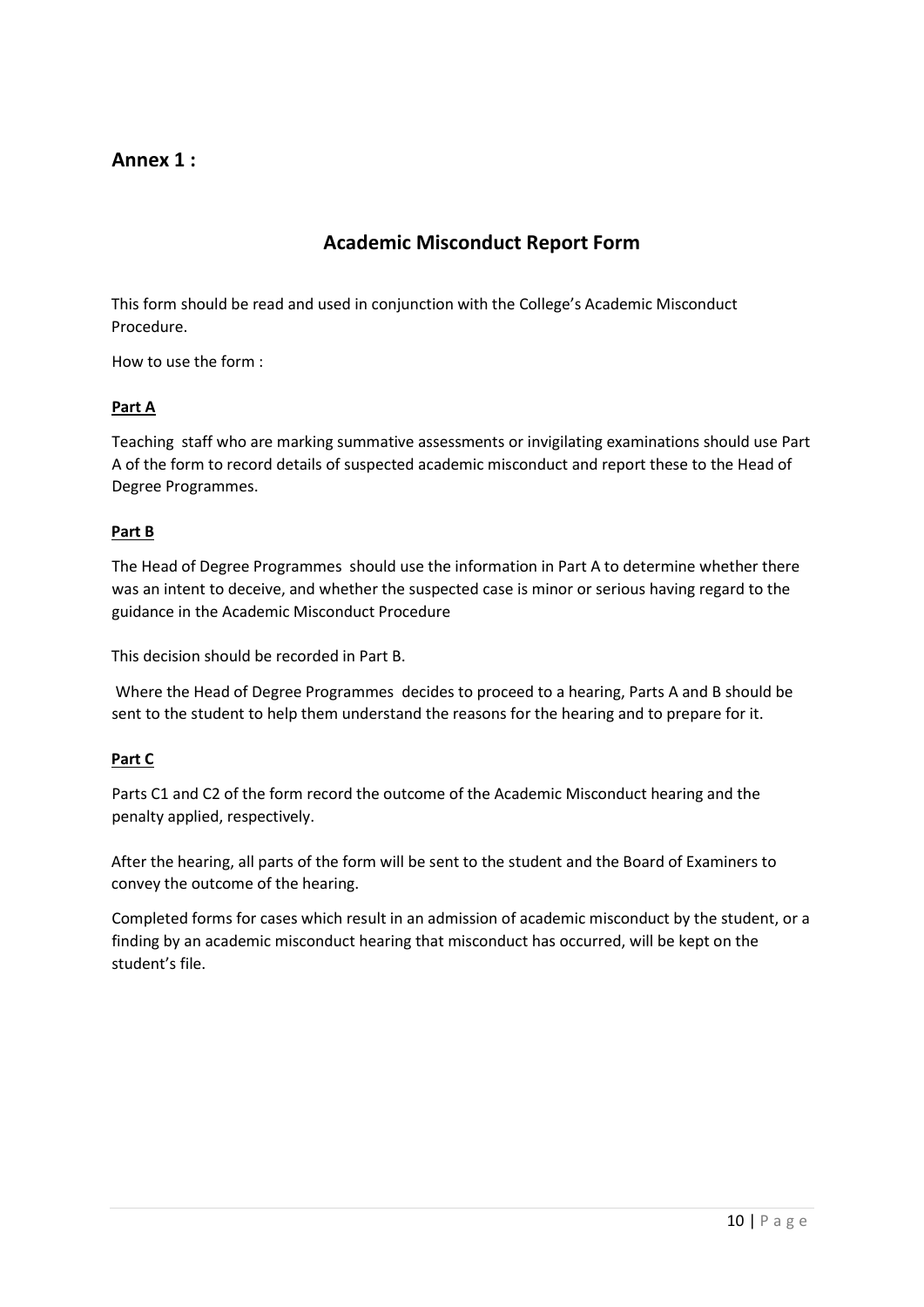#### Annex 1 :

#### Academic Misconduct Report Form

This form should be read and used in conjunction with the College's Academic Misconduct Procedure.

How to use the form :

#### Part A

Teaching staff who are marking summative assessments or invigilating examinations should use Part A of the form to record details of suspected academic misconduct and report these to the Head of Degree Programmes.

#### Part B

The Head of Degree Programmes should use the information in Part A to determine whether there was an intent to deceive, and whether the suspected case is minor or serious having regard to the guidance in the Academic Misconduct Procedure

This decision should be recorded in Part B.

 Where the Head of Degree Programmes decides to proceed to a hearing, Parts A and B should be sent to the student to help them understand the reasons for the hearing and to prepare for it.

#### Part C

Parts C1 and C2 of the form record the outcome of the Academic Misconduct hearing and the penalty applied, respectively.

After the hearing, all parts of the form will be sent to the student and the Board of Examiners to convey the outcome of the hearing.

Completed forms for cases which result in an admission of academic misconduct by the student, or a finding by an academic misconduct hearing that misconduct has occurred, will be kept on the student's file.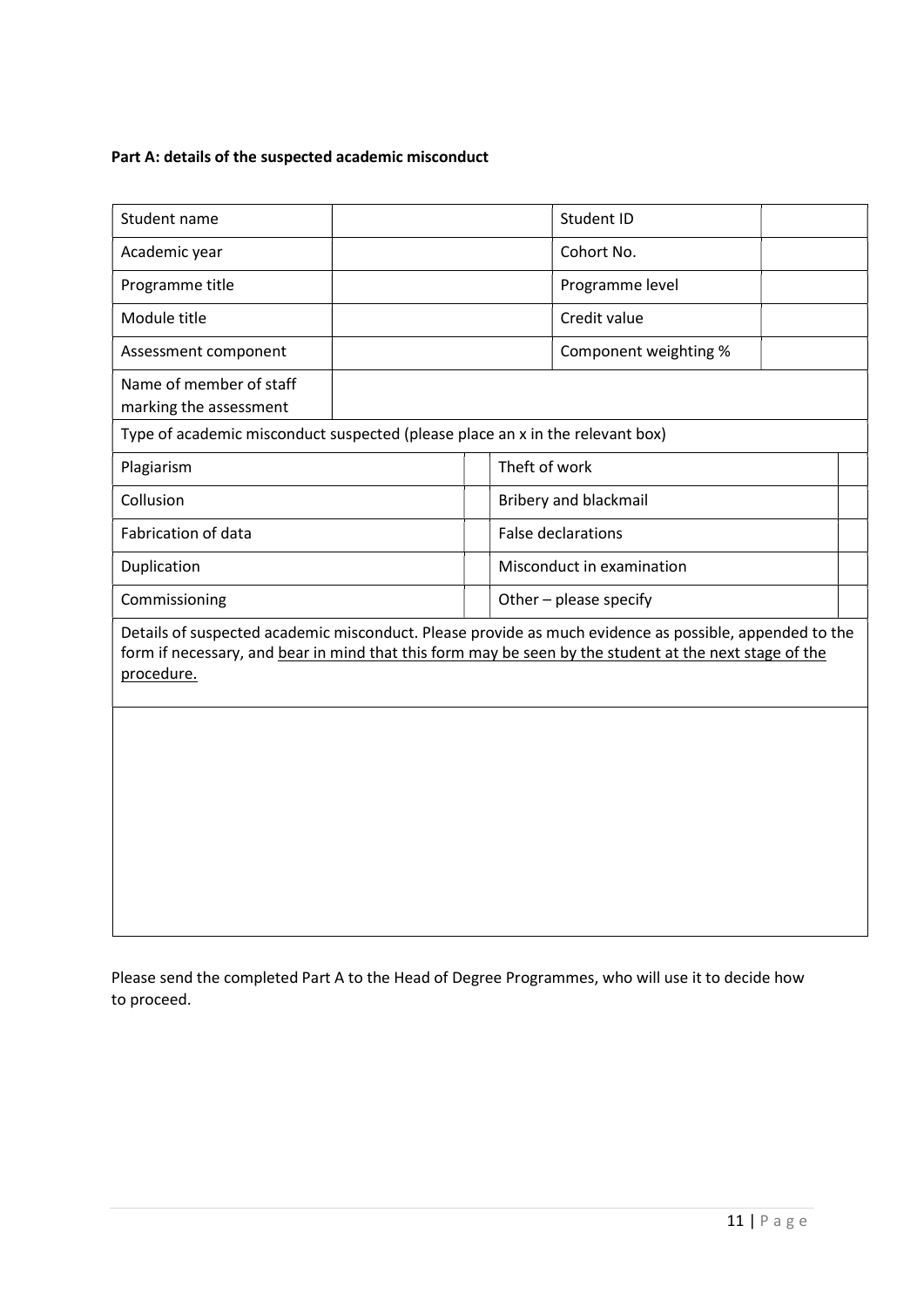#### Part A: details of the suspected academic misconduct

| Student name                                                                                                                                                                                                                   |  |               |                           | Student ID                   |  |  |
|--------------------------------------------------------------------------------------------------------------------------------------------------------------------------------------------------------------------------------|--|---------------|---------------------------|------------------------------|--|--|
| Academic year                                                                                                                                                                                                                  |  |               |                           | Cohort No.                   |  |  |
| Programme title                                                                                                                                                                                                                |  |               |                           | Programme level              |  |  |
| Module title                                                                                                                                                                                                                   |  |               |                           | Credit value                 |  |  |
| Assessment component                                                                                                                                                                                                           |  |               |                           | Component weighting %        |  |  |
| Name of member of staff<br>marking the assessment                                                                                                                                                                              |  |               |                           |                              |  |  |
| Type of academic misconduct suspected (please place an x in the relevant box)                                                                                                                                                  |  |               |                           |                              |  |  |
| Plagiarism                                                                                                                                                                                                                     |  | Theft of work |                           |                              |  |  |
| Collusion                                                                                                                                                                                                                      |  |               |                           | <b>Bribery and blackmail</b> |  |  |
| Fabrication of data                                                                                                                                                                                                            |  |               | <b>False declarations</b> |                              |  |  |
| Duplication                                                                                                                                                                                                                    |  |               | Misconduct in examination |                              |  |  |
| Commissioning                                                                                                                                                                                                                  |  |               | Other - please specify    |                              |  |  |
| Details of suspected academic misconduct. Please provide as much evidence as possible, appended to the<br>form if necessary, and bear in mind that this form may be seen by the student at the next stage of the<br>procedure. |  |               |                           |                              |  |  |
|                                                                                                                                                                                                                                |  |               |                           |                              |  |  |

Please send the completed Part A to the Head of Degree Programmes, who will use it to decide how to proceed.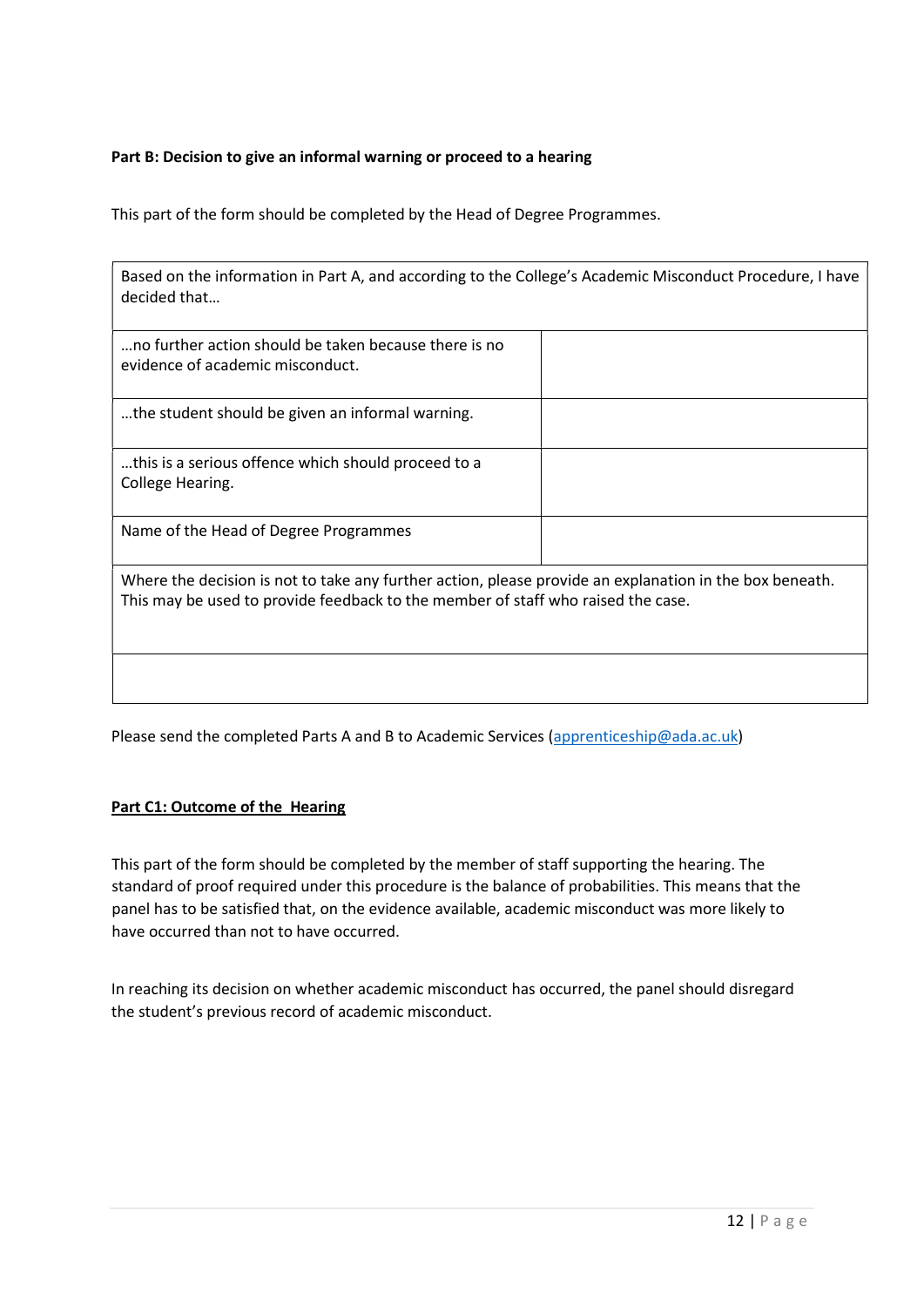#### Part B: Decision to give an informal warning or proceed to a hearing

This part of the form should be completed by the Head of Degree Programmes.

| Based on the information in Part A, and according to the College's Academic Misconduct Procedure, I have |
|----------------------------------------------------------------------------------------------------------|
| decided that                                                                                             |

| no further action should be taken because there is no<br>evidence of academic misconduct.                                                                                                   |  |
|---------------------------------------------------------------------------------------------------------------------------------------------------------------------------------------------|--|
| the student should be given an informal warning.                                                                                                                                            |  |
| this is a serious offence which should proceed to a<br>College Hearing.                                                                                                                     |  |
| Name of the Head of Degree Programmes                                                                                                                                                       |  |
| Where the decision is not to take any further action, please provide an explanation in the box beneath.<br>This may be used to provide feedback to the member of staff who raised the case. |  |

Please send the completed Parts A and B to Academic Services (apprenticeship@ada.ac.uk)

#### Part C1: Outcome of the Hearing

This part of the form should be completed by the member of staff supporting the hearing. The standard of proof required under this procedure is the balance of probabilities. This means that the panel has to be satisfied that, on the evidence available, academic misconduct was more likely to have occurred than not to have occurred.

In reaching its decision on whether academic misconduct has occurred, the panel should disregard the student's previous record of academic misconduct.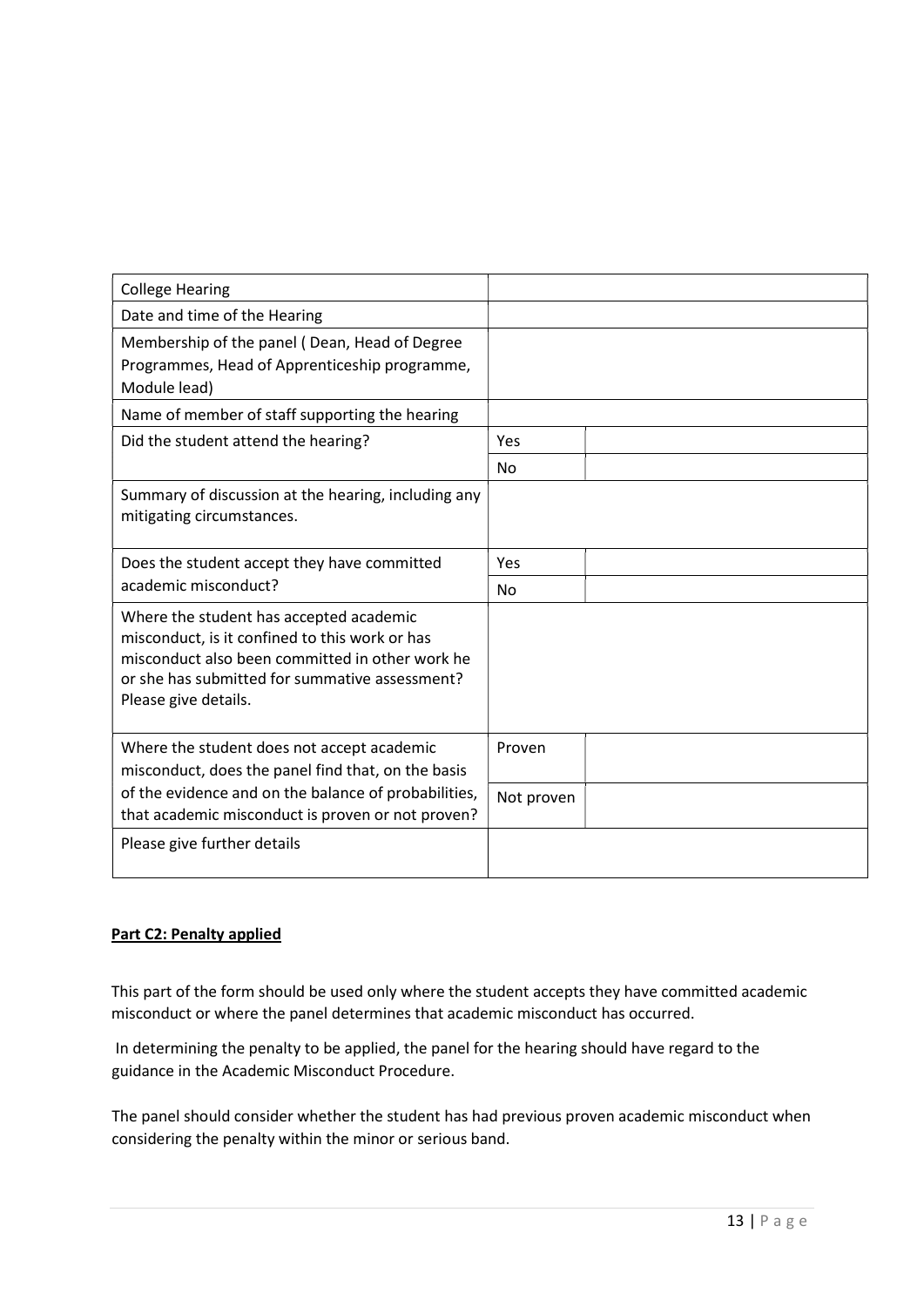| <b>College Hearing</b>                                                                                                                                                                                                 |                |  |
|------------------------------------------------------------------------------------------------------------------------------------------------------------------------------------------------------------------------|----------------|--|
| Date and time of the Hearing                                                                                                                                                                                           |                |  |
| Membership of the panel (Dean, Head of Degree<br>Programmes, Head of Apprenticeship programme,<br>Module lead)                                                                                                         |                |  |
| Name of member of staff supporting the hearing                                                                                                                                                                         |                |  |
| Did the student attend the hearing?                                                                                                                                                                                    | Yes            |  |
|                                                                                                                                                                                                                        | No.            |  |
| Summary of discussion at the hearing, including any<br>mitigating circumstances.                                                                                                                                       |                |  |
| Does the student accept they have committed<br>academic misconduct?                                                                                                                                                    | Yes            |  |
|                                                                                                                                                                                                                        | N <sub>0</sub> |  |
| Where the student has accepted academic<br>misconduct, is it confined to this work or has<br>misconduct also been committed in other work he<br>or she has submitted for summative assessment?<br>Please give details. |                |  |
| Where the student does not accept academic<br>misconduct, does the panel find that, on the basis                                                                                                                       | Proven         |  |
| of the evidence and on the balance of probabilities,<br>that academic misconduct is proven or not proven?                                                                                                              | Not proven     |  |
| Please give further details                                                                                                                                                                                            |                |  |

#### Part C2: Penalty applied

This part of the form should be used only where the student accepts they have committed academic misconduct or where the panel determines that academic misconduct has occurred.

 In determining the penalty to be applied, the panel for the hearing should have regard to the guidance in the Academic Misconduct Procedure.

The panel should consider whether the student has had previous proven academic misconduct when considering the penalty within the minor or serious band.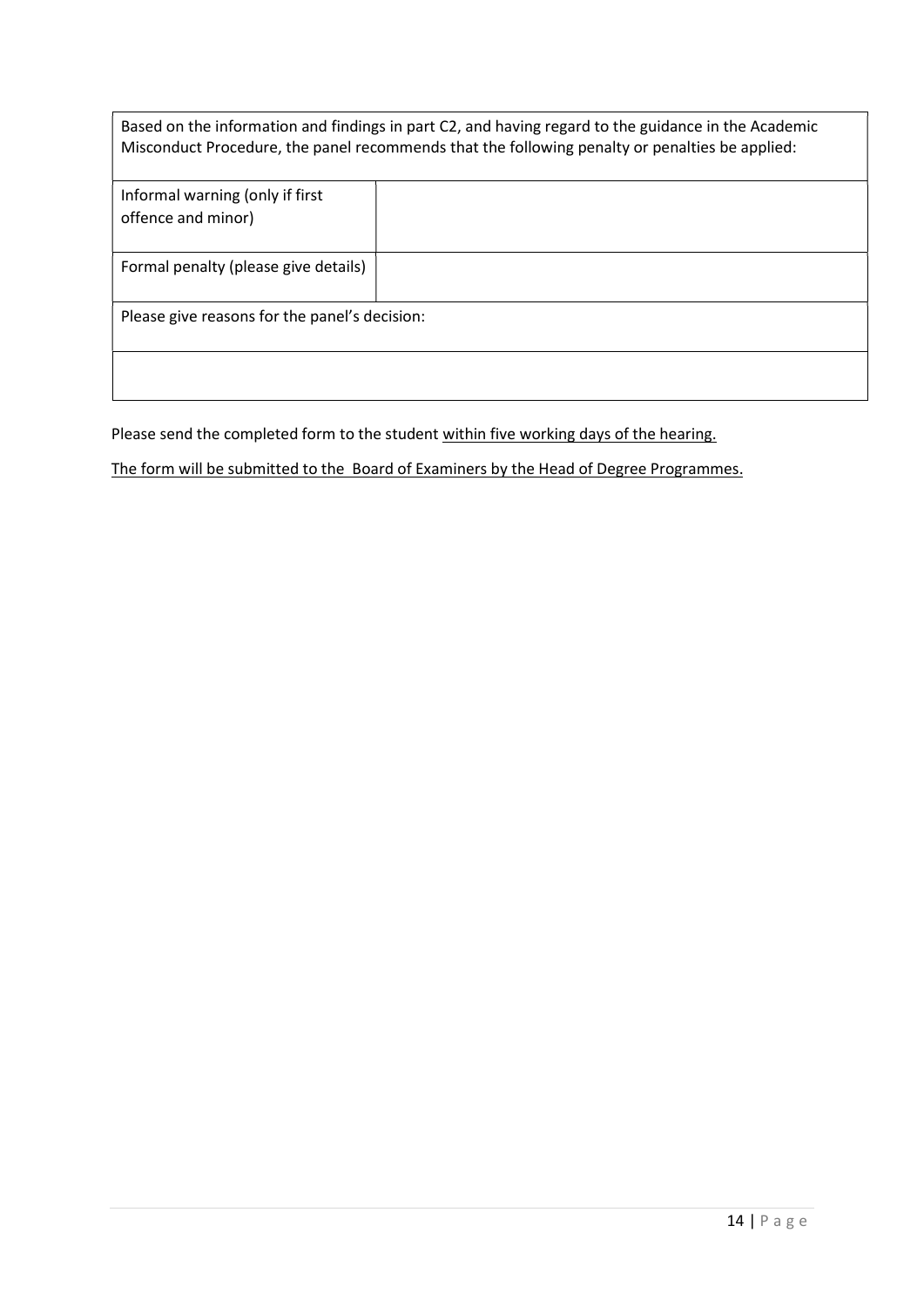|                                               | Based on the information and findings in part C2, and having regard to the guidance in the Academic<br>Misconduct Procedure, the panel recommends that the following penalty or penalties be applied: |
|-----------------------------------------------|-------------------------------------------------------------------------------------------------------------------------------------------------------------------------------------------------------|
| Informal warning (only if first               |                                                                                                                                                                                                       |
| offence and minor)                            |                                                                                                                                                                                                       |
|                                               |                                                                                                                                                                                                       |
| Formal penalty (please give details)          |                                                                                                                                                                                                       |
| Please give reasons for the panel's decision: |                                                                                                                                                                                                       |
|                                               |                                                                                                                                                                                                       |

Please send the completed form to the student within five working days of the hearing.

The form will be submitted to the Board of Examiners by the Head of Degree Programmes.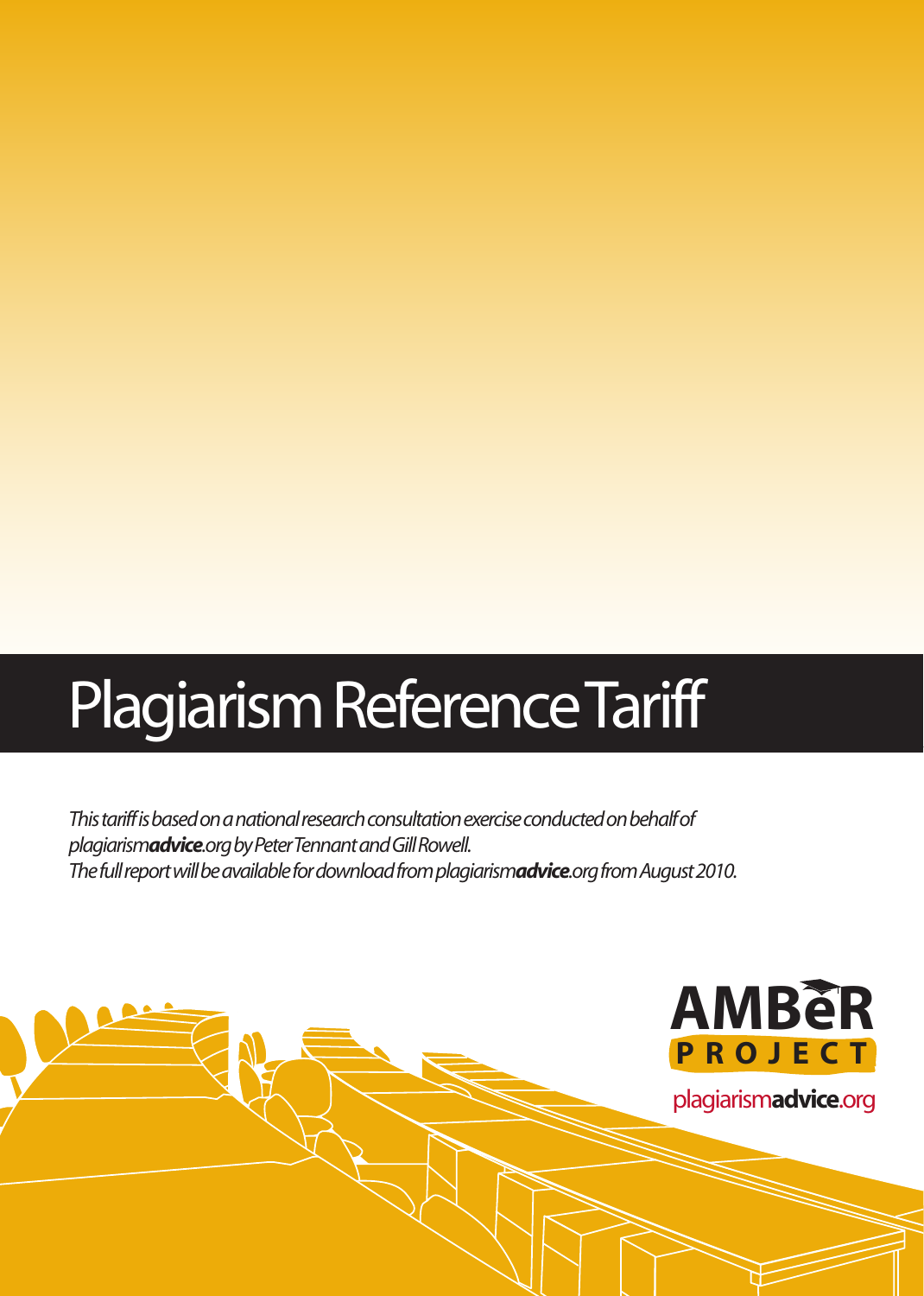# Plagiarism Reference Tariff

*This tariff is based on a national research consultation exercise conducted on behalf of plagiarismadvice.org by Peter Tennant and Gill Rowell. The full report will be available for download from plagiarismadvice.org from August 2010.*

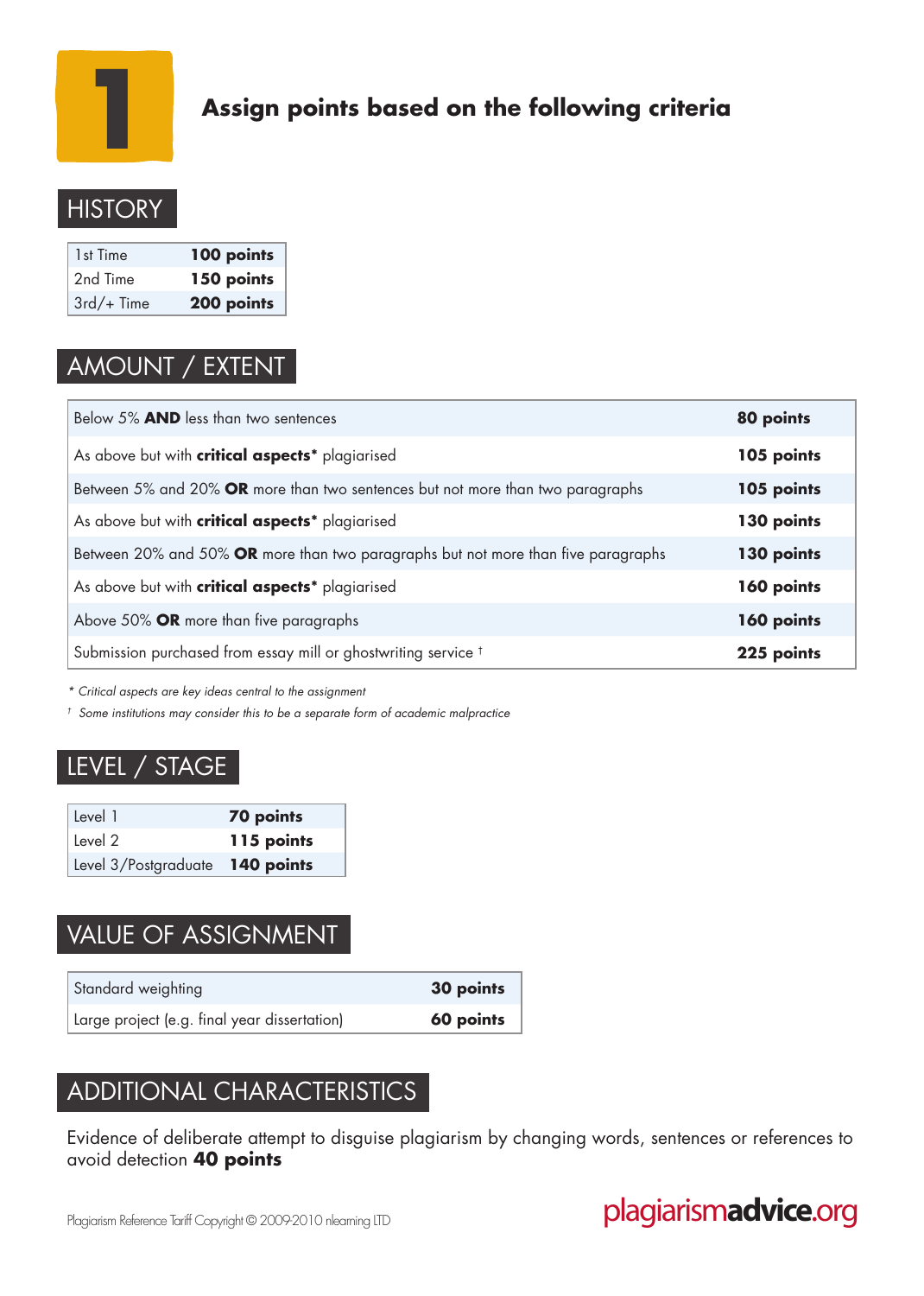

## **Assign points based on the following criteria**

## **HISTORY**

| 1st Time     | 100 points |
|--------------|------------|
| 2nd Time     | 150 points |
| $3rd/+$ Time | 200 points |

## AMOUNT / EXTENT

| Below 5% AND less than two sentences                                              | 80 points  |
|-----------------------------------------------------------------------------------|------------|
| As above but with critical aspects* plagiarised                                   | 105 points |
| Between 5% and 20% OR more than two sentences but not more than two paragraphs    | 105 points |
| As above but with critical aspects* plagiarised                                   | 130 points |
| Between 20% and 50% OR more than two paragraphs but not more than five paragraphs | 130 points |
| As above but with critical aspects* plagiarised                                   | 160 points |
| Above 50% OR more than five paragraphs                                            | 160 points |
| Submission purchased from essay mill or ghostwriting service <sup>t</sup>         | 225 points |

*\* Critical aspects are key ideas central to the assignment*

*† Some institutions may consider this to be a separate form of academic malpractice*

### LEVEL / STAGE

| Level 1                         | <b>70 points</b> |
|---------------------------------|------------------|
| ່ Level 2                       | 115 points       |
| Level 3/Postgraduate 140 points |                  |

## VALUE OF ASSIGNMENT

| Standard weighting                           | 30 points |
|----------------------------------------------|-----------|
| Large project (e.g. final year dissertation) | 60 points |

## ADDITIONAL CHARACTERISTICS

Evidence of deliberate attempt to disguise plagiarism by changing words, sentences or references to avoid detection **40 points**

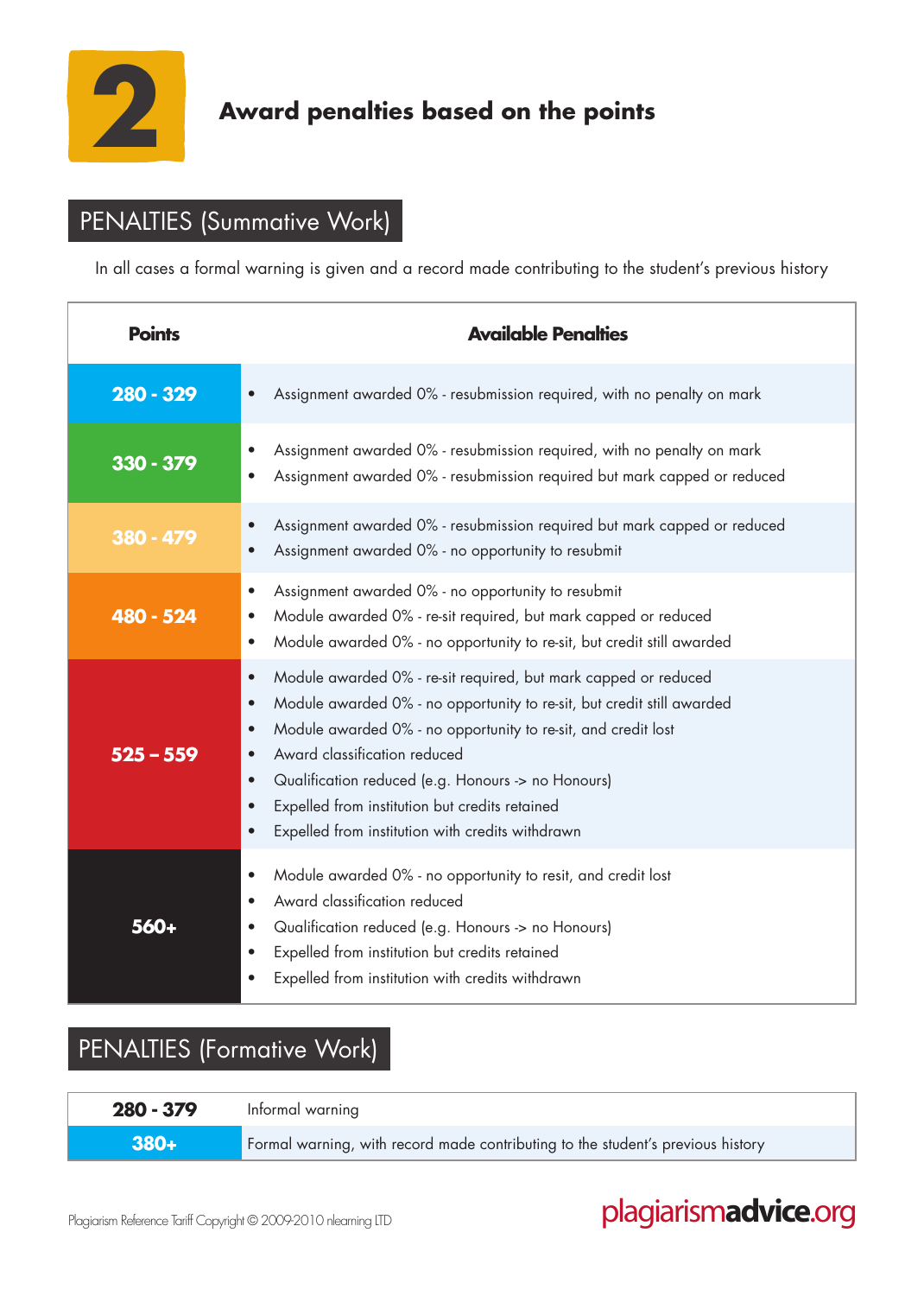

## **Award penalties based on the points**

## PENALTIES (Summative Work)

In all cases a formal warning is given and a record made contributing to the student's previous history

| <b>Points</b> | <b>Available Penalties</b>                                                                                                                                                                                                                                                                                                                                                                                                                                                                        |
|---------------|---------------------------------------------------------------------------------------------------------------------------------------------------------------------------------------------------------------------------------------------------------------------------------------------------------------------------------------------------------------------------------------------------------------------------------------------------------------------------------------------------|
| 280 - 329     | Assignment awarded 0% - resubmission required, with no penalty on mark<br>$\bullet$                                                                                                                                                                                                                                                                                                                                                                                                               |
| 330 - 379     | Assignment awarded 0% - resubmission required, with no penalty on mark<br>Assignment awarded 0% - resubmission required but mark capped or reduced                                                                                                                                                                                                                                                                                                                                                |
| 380 - 479     | Assignment awarded 0% - resubmission required but mark capped or reduced<br>$\bullet$<br>Assignment awarded 0% - no opportunity to resubmit                                                                                                                                                                                                                                                                                                                                                       |
| 480 - 524     | Assignment awarded 0% - no opportunity to resubmit<br>$\bullet$<br>Module awarded 0% - re-sit required, but mark capped or reduced<br>$\bullet$<br>Module awarded 0% - no opportunity to re-sit, but credit still awarded<br>$\bullet$                                                                                                                                                                                                                                                            |
| $525 - 559$   | Module awarded 0% - re-sit required, but mark capped or reduced<br>$\bullet$<br>Module awarded 0% - no opportunity to re-sit, but credit still awarded<br>$\bullet$<br>Module awarded 0% - no opportunity to re-sit, and credit lost<br>$\bullet$<br>Award classification reduced<br>$\bullet$<br>Qualification reduced (e.g. Honours -> no Honours)<br>$\bullet$<br>Expelled from institution but credits retained<br>$\bullet$<br>Expelled from institution with credits withdrawn<br>$\bullet$ |
| 560+          | Module awarded 0% - no opportunity to resit, and credit lost<br>$\bullet$<br>Award classification reduced<br>$\bullet$<br>Qualification reduced (e.g. Honours -> no Honours)<br>$\bullet$<br>Expelled from institution but credits retained<br>$\bullet$<br>Expelled from institution with credits withdrawn<br>$\bullet$                                                                                                                                                                         |

## PENALTIES (Formative Work)

| $280 - 379$ | Informal warning                                                                |
|-------------|---------------------------------------------------------------------------------|
| $380+$      | Formal warning, with record made contributing to the student's previous history |